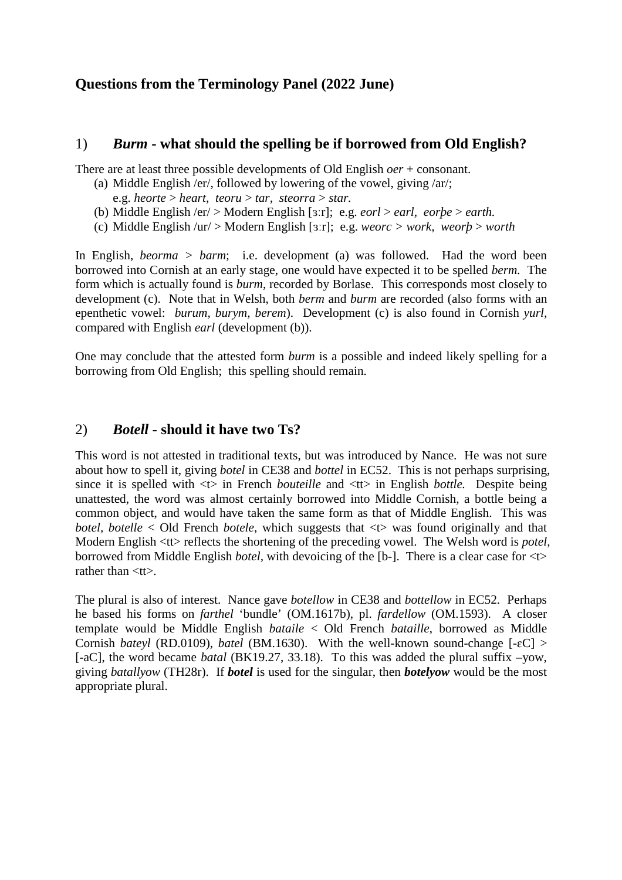# **Questions from the Terminology Panel (2022 June)**

### 1) *Burm* **- what should the spelling be if borrowed from Old English?**

There are at least three possible developments of Old English *oer* + consonant.

- (a) Middle English /er/, followed by lowering of the vowel, giving /ar/;
	- e.g. *heorte* > *heart, teoru* > *tar, steorra* > *star.*
- (b) Middle English /er/ > Modern English [ɜːr]; e.g. *eorl* > *earl, eorþe* > *earth.*
- (c) Middle English /ur/ > Modern English [ɜːr]; e.g. *weorc > work, weorþ* > *worth*

In English, *beorma > barm*; i.e. development (a) was followed. Had the word been borrowed into Cornish at an early stage, one would have expected it to be spelled *berm.* The form which is actually found is *burm*, recorded by Borlase. This corresponds most closely to development (c). Note that in Welsh, both *berm* and *burm* are recorded (also forms with an epenthetic vowel: *burum, burym, berem*). Development (c) is also found in Cornish *yurl,*  compared with English *earl* (development (b)).

One may conclude that the attested form *burm* is a possible and indeed likely spelling for a borrowing from Old English; this spelling should remain.

### 2) *Botell* **- should it have two Ts?**

This word is not attested in traditional texts, but was introduced by Nance. He was not sure about how to spell it, giving *botel* in CE38 and *bottel* in EC52. This is not perhaps surprising, since it is spelled with <t> in French *bouteille* and <tt> in English *bottle.* Despite being unattested, the word was almost certainly borrowed into Middle Cornish, a bottle being a common object, and would have taken the same form as that of Middle English. This was *botel, botelle* < Old French *botele*, which suggests that <t> was found originally and that Modern English  $\langle$ t $\rangle$  reflects the shortening of the preceding vowel. The Welsh word is *potel*, borrowed from Middle English *botel,* with devoicing of the [b-]. There is a clear case for <t> rather than  $<$ tt $>$ .

The plural is also of interest. Nance gave *botellow* in CE38 and *bottellow* in EC52. Perhaps he based his forms on *farthel* 'bundle' (OM.1617b), pl. *fardellow* (OM.1593). A closer template would be Middle English *bataile* < Old French *bataille*, borrowed as Middle Cornish *bateyl* (RD.0109), *batel* (BM.1630). With the well-known sound-change [-ɛC] > [-aC], the word became *batal* (BK19.27, 33.18). To this was added the plural suffix –yow, giving *batallyow* (TH28r). If *botel* is used for the singular, then *botelyow* would be the most appropriate plural.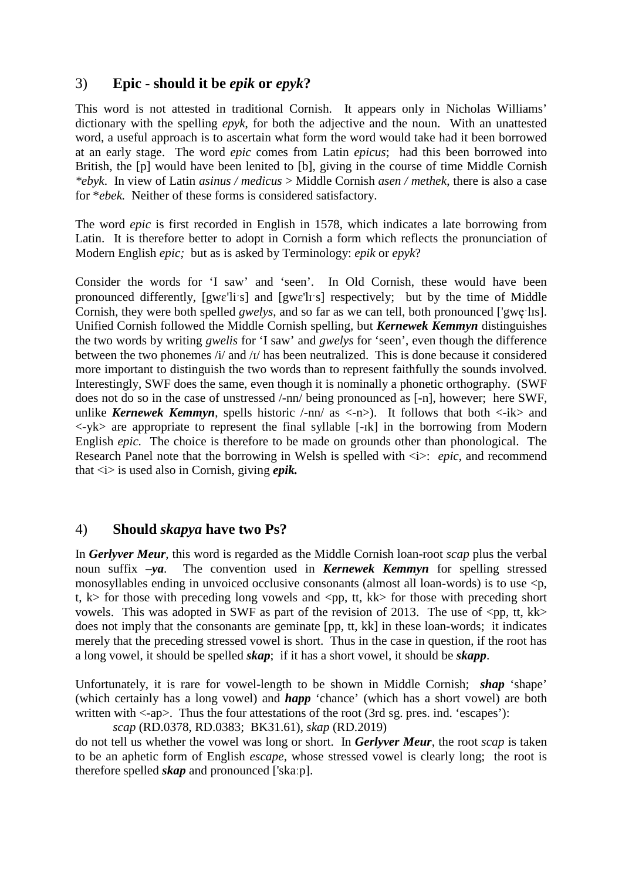# 3) **Epic - should it be** *epik* **or** *epyk***?**

This word is not attested in traditional Cornish. It appears only in Nicholas Williams' dictionary with the spelling *epyk*, for both the adjective and the noun. With an unattested word, a useful approach is to ascertain what form the word would take had it been borrowed at an early stage. The word *epic* comes from Latin *epicus*; had this been borrowed into British, the [p] would have been lenited to [b], giving in the course of time Middle Cornish *\*ebyk*. In view of Latin *asinus / medicus* > Middle Cornish *asen / methek*, there is also a case for \**ebek.* Neither of these forms is considered satisfactory.

The word *epic* is first recorded in English in 1578, which indicates a late borrowing from Latin. It is therefore better to adopt in Cornish a form which reflects the pronunciation of Modern English *epic;* but as is asked by Terminology: *epik* or *epyk*?

Consider the words for 'I saw' and 'seen'. In Old Cornish, these would have been pronounced differently, [gwɛ'liˑs] and [gwɛ'lɪˑs] respectively; but by the time of Middle Cornish, they were both spelled *gwelys*, and so far as we can tell, both pronounced ['gwe'lɪs]. Unified Cornish followed the Middle Cornish spelling, but *Kernewek Kemmyn* distinguishes the two words by writing *gwelis* for 'I saw' and *gwelys* for 'seen', even though the difference between the two phonemes /i/ and /ɪ/ has been neutralized. This is done because it considered more important to distinguish the two words than to represent faithfully the sounds involved. Interestingly, SWF does the same, even though it is nominally a phonetic orthography. (SWF does not do so in the case of unstressed /-nn/ being pronounced as [-n], however; here SWF, unlike *Kernewek Kemmyn*, spells historic  $\ell$ -nn/ as  $\langle$ -n $\rangle$ ). It follows that both  $\langle$ -ik $\rangle$  and  $\langle -yk \rangle$  are appropriate to represent the final syllable [- $\vert k \vert$ ] in the borrowing from Modern English *epic.* The choice is therefore to be made on grounds other than phonological. The Research Panel note that the borrowing in Welsh is spelled with  $\langle i \rangle$ : *epic*, and recommend that <i> is used also in Cornish, giving *epik.*

#### 4) **Should** *skapya* **have two Ps?**

In *Gerlyver Meur*, this word is regarded as the Middle Cornish loan-root *scap* plus the verbal noun suffix *–ya*. The convention used in *Kernewek Kemmyn* for spelling stressed monosyllables ending in unvoiced occlusive consonants (almost all loan-words) is to use  $\langle p, \rangle$ t,  $k$  for those with preceding long vowels and  $\langle pp, tt, kk \rangle$  for those with preceding short vowels. This was adopted in SWF as part of the revision of 2013. The use of  $\langle$ pp, tt, kk $>$ does not imply that the consonants are geminate [pp, tt, kk] in these loan-words; it indicates merely that the preceding stressed vowel is short. Thus in the case in question, if the root has a long vowel, it should be spelled *skap*; if it has a short vowel, it should be *skapp*.

Unfortunately, it is rare for vowel-length to be shown in Middle Cornish; *shap* 'shape' (which certainly has a long vowel) and *happ* 'chance' (which has a short vowel) are both written with  $\langle -ap \rangle$ . Thus the four attestations of the root (3rd sg. pres. ind. 'escapes'):

*scap* (RD.0378, RD.0383; BK31.61), *skap* (RD.2019)

do not tell us whether the vowel was long or short. In *Gerlyver Meur*, the root *scap* is taken to be an aphetic form of English *escape,* whose stressed vowel is clearly long; the root is therefore spelled *skap* and pronounced ['skaːp].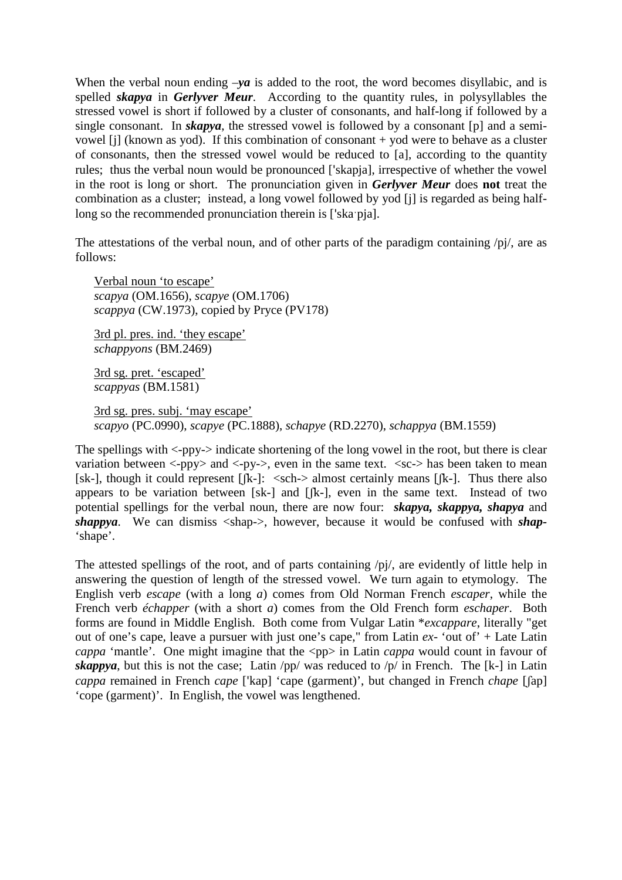When the verbal noun ending  $-\gamma a$  is added to the root, the word becomes disyllabic, and is spelled *skapya* in *Gerlyver Meur*. According to the quantity rules, in polysyllables the stressed vowel is short if followed by a cluster of consonants, and half-long if followed by a single consonant. In *skapya*, the stressed vowel is followed by a consonant [p] and a semivowel [j] (known as yod). If this combination of consonant + yod were to behave as a cluster of consonants, then the stressed vowel would be reduced to [a], according to the quantity rules; thus the verbal noun would be pronounced ['skapja], irrespective of whether the vowel in the root is long or short. The pronunciation given in *Gerlyver Meur* does **not** treat the combination as a cluster; instead, a long vowel followed by yod [j] is regarded as being halflong so the recommended pronunciation therein is ['ska:pia].

The attestations of the verbal noun, and of other parts of the paradigm containing /pj/, are as follows:

Verbal noun 'to escape' *scapya* (OM.1656), *scapye* (OM.1706) *scappya* (CW.1973), copied by Pryce (PV178)

3rd pl. pres. ind. 'they escape' *schappyons* (BM.2469)

3rd sg. pret. 'escaped' *scappyas* (BM.1581)

3rd sg. pres. subj. 'may escape' *scapyo* (PC.0990), *scapye* (PC.1888), *schapye* (RD.2270), *schappya* (BM.1559)

The spellings with <-ppy-> indicate shortening of the long vowel in the root, but there is clear variation between  $\langle$ -py $\rangle$  and  $\langle$ -py $\rangle$ , even in the same text.  $\langle$ sc $\rangle$  has been taken to mean [sk-], though it could represent  $[|k-]$ :  $\langle$ sch- $\rangle$  almost certainly means  $[|k-]$ . Thus there also appears to be variation between [sk-] and [ʃk-], even in the same text. Instead of two potential spellings for the verbal noun, there are now four: *skapya, skappya, shapya* and *shappya*. We can dismiss <shap->, however, because it would be confused with *shap-* 'shape'.

The attested spellings of the root, and of parts containing /pj/, are evidently of little help in answering the question of length of the stressed vowel. We turn again to etymology. The English verb *escape* (with a long *a*) comes from Old Norman French *escaper*, while the French verb *échapper* (with a short *a*) comes from the Old French form *eschaper*. Both forms are found in Middle English. Both come from Vulgar Latin \**excappare*, literally "get out of one's cape, leave a pursuer with just one's cape," from Latin *ex-* 'out of' + Late Latin *cappa* 'mantle'. One might imagine that the <pp> in Latin *cappa* would count in favour of *skappya*, but this is not the case; Latin  $\pi$ /pp/ was reduced to  $\pi$ /p/ in French. The [k-] in Latin *cappa* remained in French *cape* ['kap] 'cape (garment)', but changed in French *chape* [ʃap] 'cope (garment)'. In English, the vowel was lengthened.